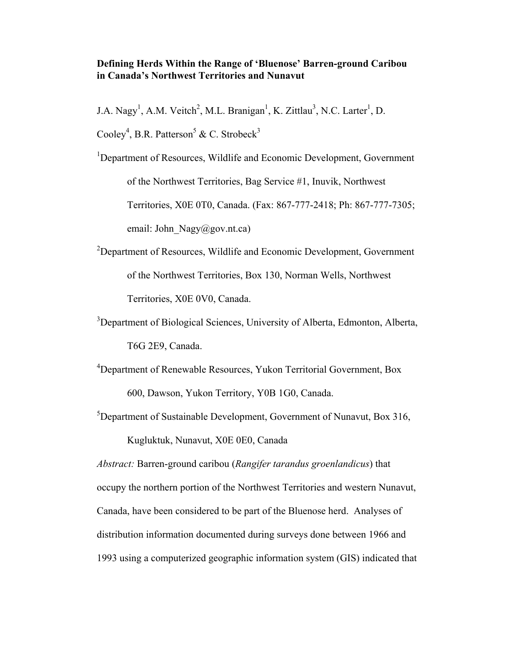# **Defining Herds Within the Range of 'Bluenose' Barren-ground Caribou in Canada's Northwest Territories and Nunavut**

J.A. Nagy<sup>1</sup>, A.M. Veitch<sup>2</sup>, M.L. Branigan<sup>1</sup>, K. Zittlau<sup>3</sup>, N.C. Larter<sup>1</sup>, D.

Cooley<sup>4</sup>, B.R. Patterson<sup>5</sup> & C. Strobeck<sup>3</sup>

<sup>1</sup>Department of Resources, Wildlife and Economic Development, Government of the Northwest Territories, Bag Service #1, Inuvik, Northwest Territories, X0E 0T0, Canada. (Fax: 867-777-2418; Ph: 867-777-7305; email: John  $Nagy@gov.nt.ca)$ 

<sup>2</sup>Department of Resources, Wildlife and Economic Development, Government of the Northwest Territories, Box 130, Norman Wells, Northwest Territories, X0E 0V0, Canada.

<sup>3</sup>Department of Biological Sciences, University of Alberta, Edmonton, Alberta, T6G 2E9, Canada.

4 Department of Renewable Resources, Yukon Territorial Government, Box 600, Dawson, Yukon Territory, Y0B 1G0, Canada.

<sup>5</sup>Department of Sustainable Development, Government of Nunavut, Box 316,

Kugluktuk, Nunavut, X0E 0E0, Canada

*Abstract:* Barren-ground caribou (*Rangifer tarandus groenlandicus*) that occupy the northern portion of the Northwest Territories and western Nunavut, Canada, have been considered to be part of the Bluenose herd. Analyses of distribution information documented during surveys done between 1966 and 1993 using a computerized geographic information system (GIS) indicated that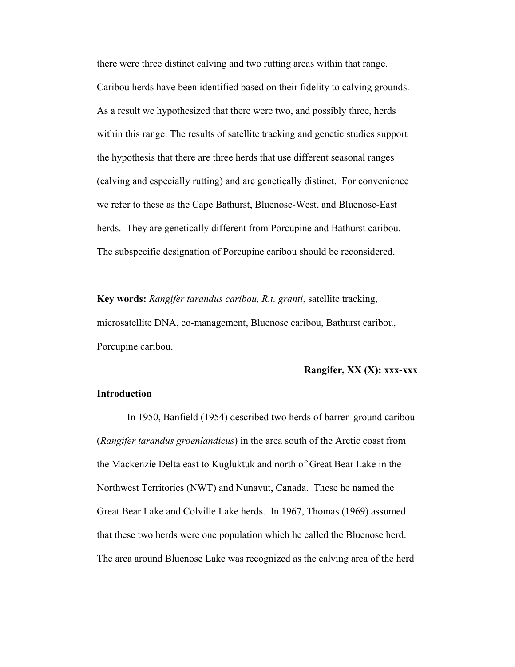there were three distinct calving and two rutting areas within that range. Caribou herds have been identified based on their fidelity to calving grounds. As a result we hypothesized that there were two, and possibly three, herds within this range. The results of satellite tracking and genetic studies support the hypothesis that there are three herds that use different seasonal ranges (calving and especially rutting) and are genetically distinct. For convenience we refer to these as the Cape Bathurst, Bluenose-West, and Bluenose-East herds. They are genetically different from Porcupine and Bathurst caribou. The subspecific designation of Porcupine caribou should be reconsidered.

**Key words:** *Rangifer tarandus caribou, R.t. granti*, satellite tracking, microsatellite DNA, co-management, Bluenose caribou, Bathurst caribou, Porcupine caribou.

## **Rangifer, XX (X): xxx-xxx**

#### **Introduction**

 In 1950, Banfield (1954) described two herds of barren-ground caribou (*Rangifer tarandus groenlandicus*) in the area south of the Arctic coast from the Mackenzie Delta east to Kugluktuk and north of Great Bear Lake in the Northwest Territories (NWT) and Nunavut, Canada. These he named the Great Bear Lake and Colville Lake herds. In 1967, Thomas (1969) assumed that these two herds were one population which he called the Bluenose herd. The area around Bluenose Lake was recognized as the calving area of the herd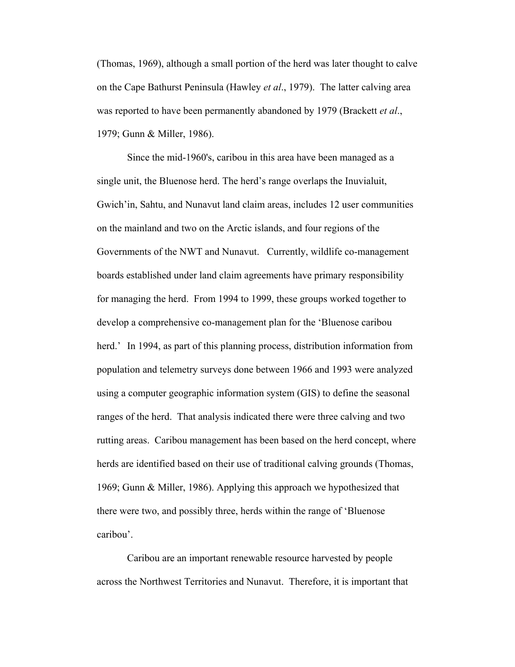(Thomas, 1969), although a small portion of the herd was later thought to calve on the Cape Bathurst Peninsula (Hawley *et al*., 1979). The latter calving area was reported to have been permanently abandoned by 1979 (Brackett *et al*., 1979; Gunn & Miller, 1986).

 Since the mid-1960's, caribou in this area have been managed as a single unit, the Bluenose herd. The herd's range overlaps the Inuvialuit, Gwich'in, Sahtu, and Nunavut land claim areas, includes 12 user communities on the mainland and two on the Arctic islands, and four regions of the Governments of the NWT and Nunavut. Currently, wildlife co-management boards established under land claim agreements have primary responsibility for managing the herd. From 1994 to 1999, these groups worked together to develop a comprehensive co-management plan for the 'Bluenose caribou herd.' In 1994, as part of this planning process, distribution information from population and telemetry surveys done between 1966 and 1993 were analyzed using a computer geographic information system (GIS) to define the seasonal ranges of the herd. That analysis indicated there were three calving and two rutting areas. Caribou management has been based on the herd concept, where herds are identified based on their use of traditional calving grounds (Thomas, 1969; Gunn & Miller, 1986). Applying this approach we hypothesized that there were two, and possibly three, herds within the range of 'Bluenose caribou'.

 Caribou are an important renewable resource harvested by people across the Northwest Territories and Nunavut. Therefore, it is important that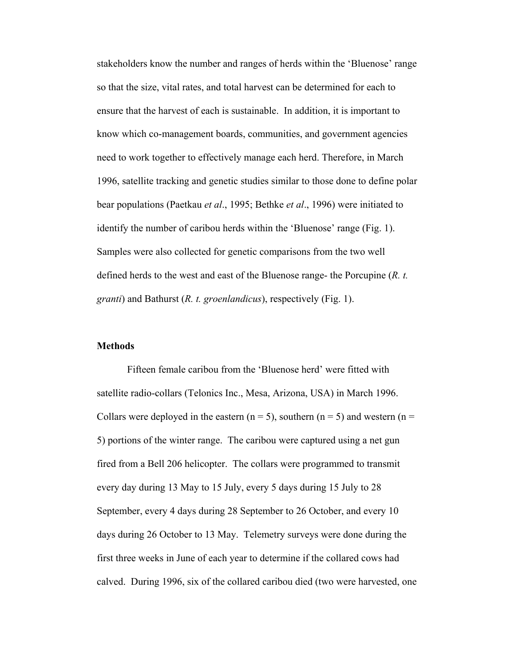stakeholders know the number and ranges of herds within the 'Bluenose' range so that the size, vital rates, and total harvest can be determined for each to ensure that the harvest of each is sustainable. In addition, it is important to know which co-management boards, communities, and government agencies need to work together to effectively manage each herd. Therefore, in March 1996, satellite tracking and genetic studies similar to those done to define polar bear populations (Paetkau *et al*., 1995; Bethke *et al*., 1996) were initiated to identify the number of caribou herds within the 'Bluenose' range (Fig. 1). Samples were also collected for genetic comparisons from the two well defined herds to the west and east of the Bluenose range- the Porcupine (*R. t. granti*) and Bathurst (*R. t. groenlandicus*), respectively (Fig. 1).

#### **Methods**

 Fifteen female caribou from the 'Bluenose herd' were fitted with satellite radio-collars (Telonics Inc., Mesa, Arizona, USA) in March 1996. Collars were deployed in the eastern ( $n = 5$ ), southern ( $n = 5$ ) and western ( $n =$ 5) portions of the winter range. The caribou were captured using a net gun fired from a Bell 206 helicopter. The collars were programmed to transmit every day during 13 May to 15 July, every 5 days during 15 July to 28 September, every 4 days during 28 September to 26 October, and every 10 days during 26 October to 13 May. Telemetry surveys were done during the first three weeks in June of each year to determine if the collared cows had calved. During 1996, six of the collared caribou died (two were harvested, one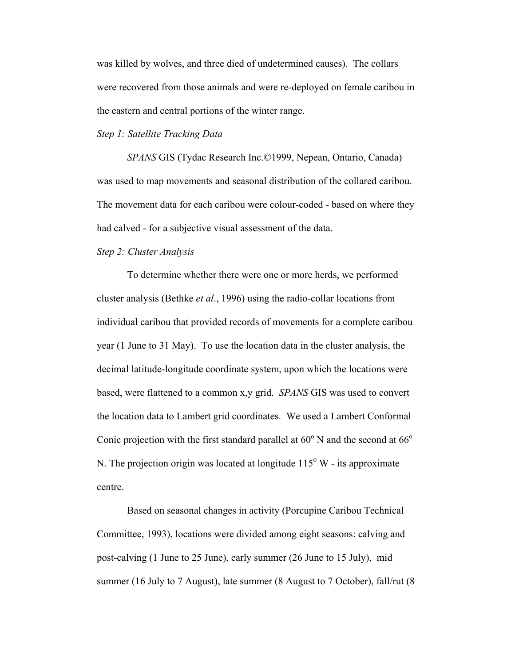was killed by wolves, and three died of undetermined causes). The collars were recovered from those animals and were re-deployed on female caribou in the eastern and central portions of the winter range.

## *Step 1: Satellite Tracking Data*

 *SPANS* GIS (Tydac Research Inc.©1999, Nepean, Ontario, Canada) was used to map movements and seasonal distribution of the collared caribou. The movement data for each caribou were colour-coded - based on where they had calved - for a subjective visual assessment of the data.

## *Step 2: Cluster Analysis*

 To determine whether there were one or more herds, we performed cluster analysis (Bethke *et al*., 1996) using the radio-collar locations from individual caribou that provided records of movements for a complete caribou year (1 June to 31 May). To use the location data in the cluster analysis, the decimal latitude-longitude coordinate system, upon which the locations were based, were flattened to a common x,y grid. *SPANS* GIS was used to convert the location data to Lambert grid coordinates. We used a Lambert Conformal Conic projection with the first standard parallel at  $60^{\circ}$  N and the second at  $66^{\circ}$ N. The projection origin was located at longitude  $115^{\circ}$  W - its approximate centre.

 Based on seasonal changes in activity (Porcupine Caribou Technical Committee, 1993), locations were divided among eight seasons: calving and post-calving (1 June to 25 June), early summer (26 June to 15 July), mid summer (16 July to 7 August), late summer (8 August to 7 October), fall/rut (8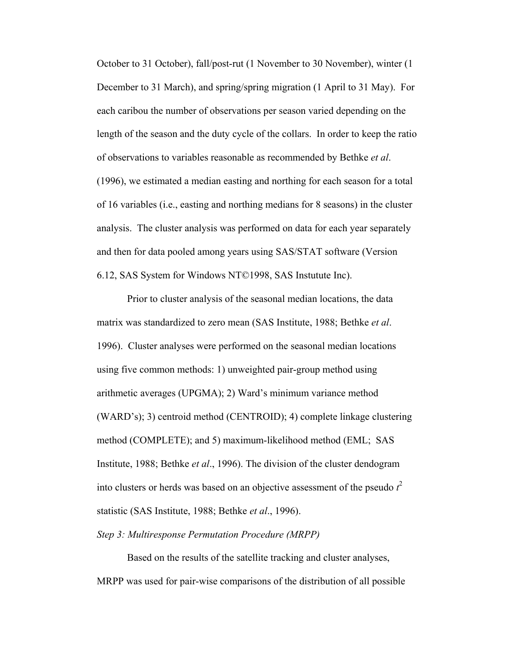October to 31 October), fall/post-rut (1 November to 30 November), winter (1 December to 31 March), and spring/spring migration (1 April to 31 May). For each caribou the number of observations per season varied depending on the length of the season and the duty cycle of the collars. In order to keep the ratio of observations to variables reasonable as recommended by Bethke *et al*. (1996), we estimated a median easting and northing for each season for a total of 16 variables (i.e., easting and northing medians for 8 seasons) in the cluster analysis. The cluster analysis was performed on data for each year separately and then for data pooled among years using SAS/STAT software (Version 6.12, SAS System for Windows NT©1998, SAS Instutute Inc).

 Prior to cluster analysis of the seasonal median locations, the data matrix was standardized to zero mean (SAS Institute, 1988; Bethke *et al*. 1996). Cluster analyses were performed on the seasonal median locations using five common methods: 1) unweighted pair-group method using arithmetic averages (UPGMA); 2) Ward's minimum variance method (WARD's); 3) centroid method (CENTROID); 4) complete linkage clustering method (COMPLETE); and 5) maximum-likelihood method (EML; SAS Institute, 1988; Bethke *et al*., 1996). The division of the cluster dendogram into clusters or herds was based on an objective assessment of the pseudo  $t^2$ statistic (SAS Institute, 1988; Bethke *et al*., 1996).

## *Step 3: Multiresponse Permutation Procedure (MRPP)*

 Based on the results of the satellite tracking and cluster analyses, MRPP was used for pair-wise comparisons of the distribution of all possible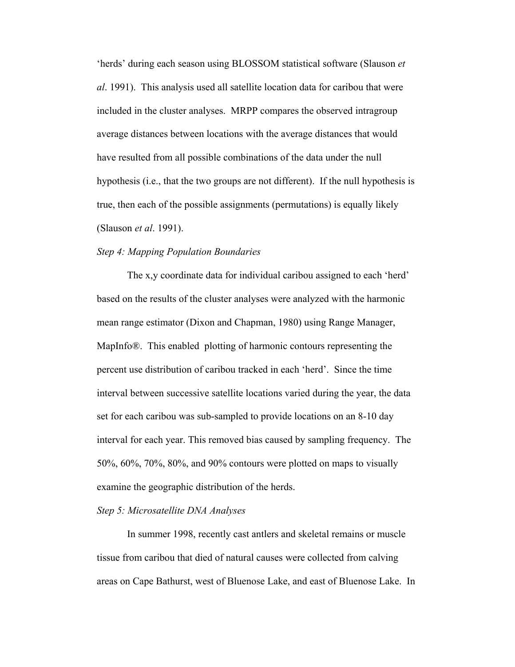'herds' during each season using BLOSSOM statistical software (Slauson *et al*. 1991). This analysis used all satellite location data for caribou that were included in the cluster analyses. MRPP compares the observed intragroup average distances between locations with the average distances that would have resulted from all possible combinations of the data under the null hypothesis (i.e., that the two groups are not different). If the null hypothesis is true, then each of the possible assignments (permutations) is equally likely (Slauson *et al*. 1991).

### *Step 4: Mapping Population Boundaries*

 The x,y coordinate data for individual caribou assigned to each 'herd' based on the results of the cluster analyses were analyzed with the harmonic mean range estimator (Dixon and Chapman, 1980) using Range Manager, MapInfo®. This enabled plotting of harmonic contours representing the percent use distribution of caribou tracked in each 'herd'. Since the time interval between successive satellite locations varied during the year, the data set for each caribou was sub-sampled to provide locations on an 8-10 day interval for each year. This removed bias caused by sampling frequency. The 50%, 60%, 70%, 80%, and 90% contours were plotted on maps to visually examine the geographic distribution of the herds.

### *Step 5: Microsatellite DNA Analyses*

 In summer 1998, recently cast antlers and skeletal remains or muscle tissue from caribou that died of natural causes were collected from calving areas on Cape Bathurst, west of Bluenose Lake, and east of Bluenose Lake. In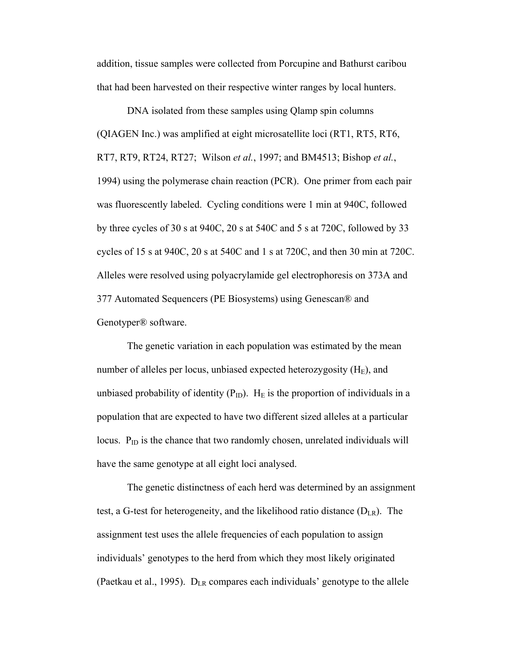addition, tissue samples were collected from Porcupine and Bathurst caribou that had been harvested on their respective winter ranges by local hunters.

 DNA isolated from these samples using Qlamp spin columns (QIAGEN Inc.) was amplified at eight microsatellite loci (RT1, RT5, RT6, RT7, RT9, RT24, RT27; Wilson *et al.*, 1997; and BM4513; Bishop *et al.*, 1994) using the polymerase chain reaction (PCR). One primer from each pair was fluorescently labeled. Cycling conditions were 1 min at 940C, followed by three cycles of 30 s at 940C, 20 s at 540C and 5 s at 720C, followed by 33 cycles of 15 s at 940C, 20 s at 540C and 1 s at 720C, and then 30 min at 720C. Alleles were resolved using polyacrylamide gel electrophoresis on 373A and 377 Automated Sequencers (PE Biosystems) using Genescan® and Genotyper® software.

 The genetic variation in each population was estimated by the mean number of alleles per locus, unbiased expected heterozygosity  $(H_E)$ , and unbiased probability of identity ( $P_{ID}$ ). H<sub>E</sub> is the proportion of individuals in a population that are expected to have two different sized alleles at a particular locus.  $P_{ID}$  is the chance that two randomly chosen, unrelated individuals will have the same genotype at all eight loci analysed.

 The genetic distinctness of each herd was determined by an assignment test, a G-test for heterogeneity, and the likelihood ratio distance  $(D_{LR})$ . The assignment test uses the allele frequencies of each population to assign individuals' genotypes to the herd from which they most likely originated (Paetkau et al., 1995).  $D_{LR}$  compares each individuals' genotype to the allele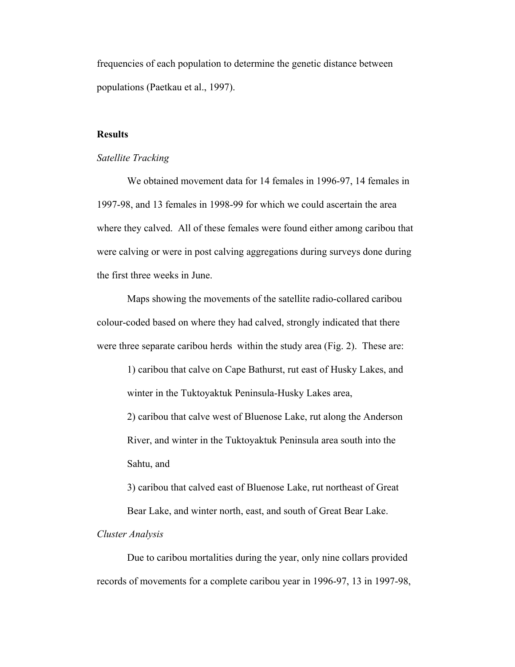frequencies of each population to determine the genetic distance between populations (Paetkau et al., 1997).

## **Results**

#### *Satellite Tracking*

 We obtained movement data for 14 females in 1996-97, 14 females in 1997-98, and 13 females in 1998-99 for which we could ascertain the area where they calved. All of these females were found either among caribou that were calving or were in post calving aggregations during surveys done during the first three weeks in June.

 Maps showing the movements of the satellite radio-collared caribou colour-coded based on where they had calved, strongly indicated that there were three separate caribou herds within the study area (Fig. 2). These are:

1) caribou that calve on Cape Bathurst, rut east of Husky Lakes, and winter in the Tuktoyaktuk Peninsula-Husky Lakes area,

2) caribou that calve west of Bluenose Lake, rut along the Anderson River, and winter in the Tuktoyaktuk Peninsula area south into the Sahtu, and

3) caribou that calved east of Bluenose Lake, rut northeast of Great Bear Lake, and winter north, east, and south of Great Bear Lake.

#### *Cluster Analysis*

 Due to caribou mortalities during the year, only nine collars provided records of movements for a complete caribou year in 1996-97, 13 in 1997-98,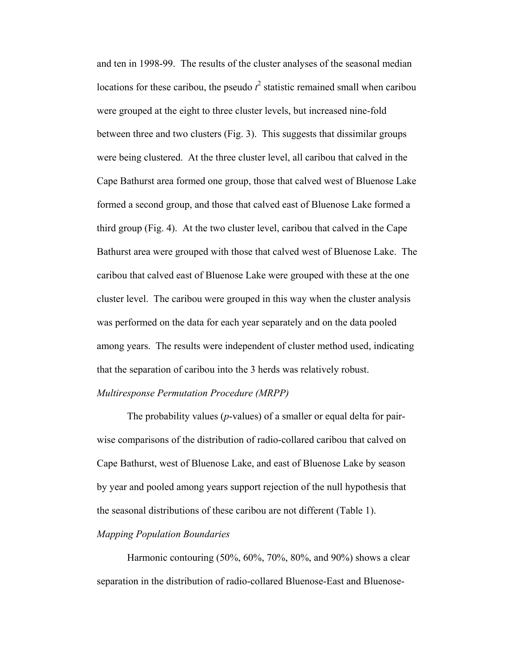and ten in 1998-99. The results of the cluster analyses of the seasonal median locations for these caribou, the pseudo  $t^2$  statistic remained small when caribou were grouped at the eight to three cluster levels, but increased nine-fold between three and two clusters (Fig. 3). This suggests that dissimilar groups were being clustered. At the three cluster level, all caribou that calved in the Cape Bathurst area formed one group, those that calved west of Bluenose Lake formed a second group, and those that calved east of Bluenose Lake formed a third group (Fig. 4). At the two cluster level, caribou that calved in the Cape Bathurst area were grouped with those that calved west of Bluenose Lake. The caribou that calved east of Bluenose Lake were grouped with these at the one cluster level. The caribou were grouped in this way when the cluster analysis was performed on the data for each year separately and on the data pooled among years. The results were independent of cluster method used, indicating that the separation of caribou into the 3 herds was relatively robust.

## *Multiresponse Permutation Procedure (MRPP)*

 The probability values (*p*-values) of a smaller or equal delta for pairwise comparisons of the distribution of radio-collared caribou that calved on Cape Bathurst, west of Bluenose Lake, and east of Bluenose Lake by season by year and pooled among years support rejection of the null hypothesis that the seasonal distributions of these caribou are not different (Table 1).

### *Mapping Population Boundaries*

 Harmonic contouring (50%, 60%, 70%, 80%, and 90%) shows a clear separation in the distribution of radio-collared Bluenose-East and Bluenose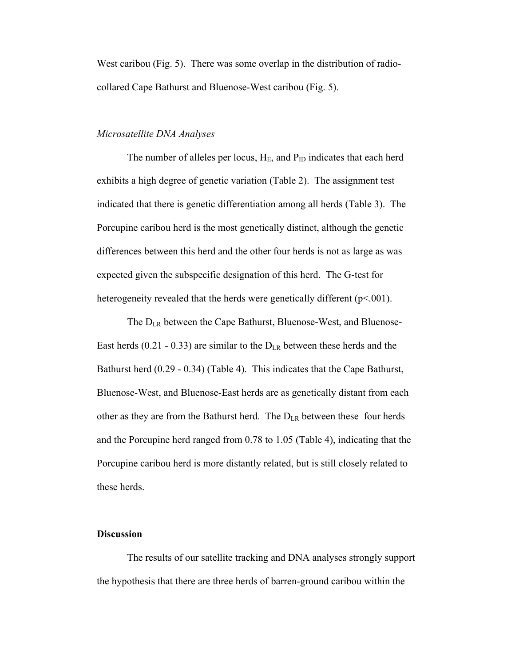West caribou (Fig. 5). There was some overlap in the distribution of radiocollared Cape Bathurst and Bluenose-West caribou (Fig. 5).

#### *Microsatellite DNA Analyses*

The number of alleles per locus,  $H_E$ , and  $P_{ID}$  indicates that each herd exhibits a high degree of genetic variation (Table 2). The assignment test indicated that there is genetic differentiation among all herds (Table 3). The Porcupine caribou herd is the most genetically distinct, although the genetic differences between this herd and the other four herds is not as large as was expected given the subspecific designation of this herd. The G-test for heterogeneity revealed that the herds were genetically different  $(p<.001)$ .

The  $D_{LR}$  between the Cape Bathurst, Bluenose-West, and Bluenose-East herds (0.21 - 0.33) are similar to the  $D_{LR}$  between these herds and the Bathurst herd (0.29 - 0.34) (Table 4). This indicates that the Cape Bathurst, Bluenose-West, and Bluenose-East herds are as genetically distant from each other as they are from the Bathurst herd. The DLR between these four herds and the Porcupine herd ranged from 0.78 to 1.05 (Table 4), indicating that the Porcupine caribou herd is more distantly related, but is still closely related to these herds.

## **Discussion**

 The results of our satellite tracking and DNA analyses strongly support the hypothesis that there are three herds of barren-ground caribou within the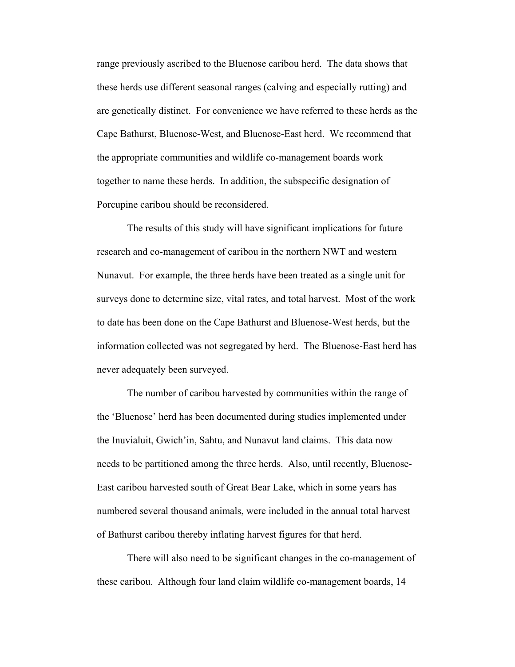range previously ascribed to the Bluenose caribou herd. The data shows that these herds use different seasonal ranges (calving and especially rutting) and are genetically distinct. For convenience we have referred to these herds as the Cape Bathurst, Bluenose-West, and Bluenose-East herd. We recommend that the appropriate communities and wildlife co-management boards work together to name these herds. In addition, the subspecific designation of Porcupine caribou should be reconsidered.

 The results of this study will have significant implications for future research and co-management of caribou in the northern NWT and western Nunavut. For example, the three herds have been treated as a single unit for surveys done to determine size, vital rates, and total harvest. Most of the work to date has been done on the Cape Bathurst and Bluenose-West herds, but the information collected was not segregated by herd. The Bluenose-East herd has never adequately been surveyed.

 The number of caribou harvested by communities within the range of the 'Bluenose' herd has been documented during studies implemented under the Inuvialuit, Gwich'in, Sahtu, and Nunavut land claims. This data now needs to be partitioned among the three herds. Also, until recently, Bluenose-East caribou harvested south of Great Bear Lake, which in some years has numbered several thousand animals, were included in the annual total harvest of Bathurst caribou thereby inflating harvest figures for that herd.

 There will also need to be significant changes in the co-management of these caribou. Although four land claim wildlife co-management boards, 14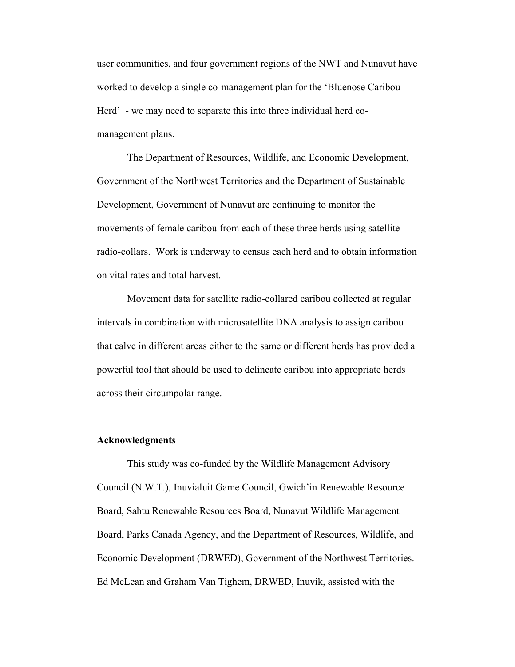user communities, and four government regions of the NWT and Nunavut have worked to develop a single co-management plan for the 'Bluenose Caribou Herd' - we may need to separate this into three individual herd comanagement plans.

 The Department of Resources, Wildlife, and Economic Development, Government of the Northwest Territories and the Department of Sustainable Development, Government of Nunavut are continuing to monitor the movements of female caribou from each of these three herds using satellite radio-collars. Work is underway to census each herd and to obtain information on vital rates and total harvest.

 Movement data for satellite radio-collared caribou collected at regular intervals in combination with microsatellite DNA analysis to assign caribou that calve in different areas either to the same or different herds has provided a powerful tool that should be used to delineate caribou into appropriate herds across their circumpolar range.

#### **Acknowledgments**

 This study was co-funded by the Wildlife Management Advisory Council (N.W.T.), Inuvialuit Game Council, Gwich'in Renewable Resource Board, Sahtu Renewable Resources Board, Nunavut Wildlife Management Board, Parks Canada Agency, and the Department of Resources, Wildlife, and Economic Development (DRWED), Government of the Northwest Territories. Ed McLean and Graham Van Tighem, DRWED, Inuvik, assisted with the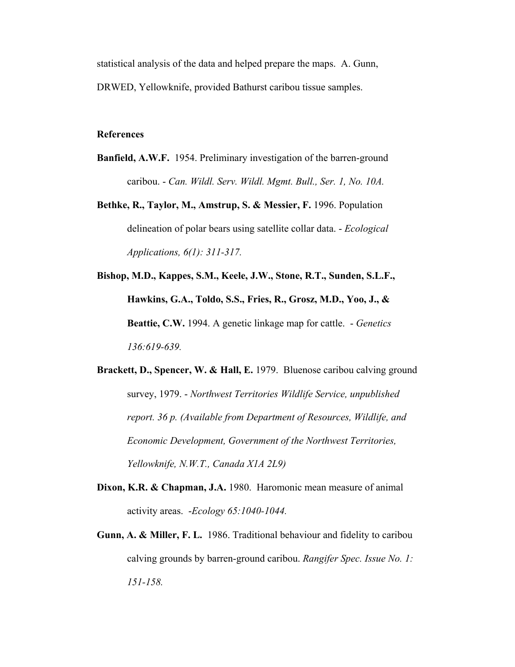statistical analysis of the data and helped prepare the maps. A. Gunn, DRWED, Yellowknife, provided Bathurst caribou tissue samples.

## **References**

- **Banfield, A.W.F.** 1954. Preliminary investigation of the barren-ground caribou. - *Can. Wildl. Serv. Wildl. Mgmt. Bull., Ser. 1, No. 10A.*
- **Bethke, R., Taylor, M., Amstrup, S. & Messier, F.** 1996. Population delineation of polar bears using satellite collar data. - *Ecological Applications, 6(1): 311-317.*

**Bishop, M.D., Kappes, S.M., Keele, J.W., Stone, R.T., Sunden, S.L.F., Hawkins, G.A., Toldo, S.S., Fries, R., Grosz, M.D., Yoo, J., & Beattie, C.W.** 1994. A genetic linkage map for cattle. - *Genetics 136:619-639.*

**Brackett, D., Spencer, W. & Hall, E.** 1979. Bluenose caribou calving ground survey, 1979. - *Northwest Territories Wildlife Service, unpublished report. 36 p. (Available from Department of Resources, Wildlife, and Economic Development, Government of the Northwest Territories, Yellowknife, N.W.T., Canada X1A 2L9)*

- **Dixon, K.R. & Chapman, J.A.** 1980. Haromonic mean measure of animal activity areas. -*Ecology 65:1040-1044.*
- **Gunn, A. & Miller, F. L.** 1986. Traditional behaviour and fidelity to caribou calving grounds by barren-ground caribou. *Rangifer Spec. Issue No. 1: 151-158.*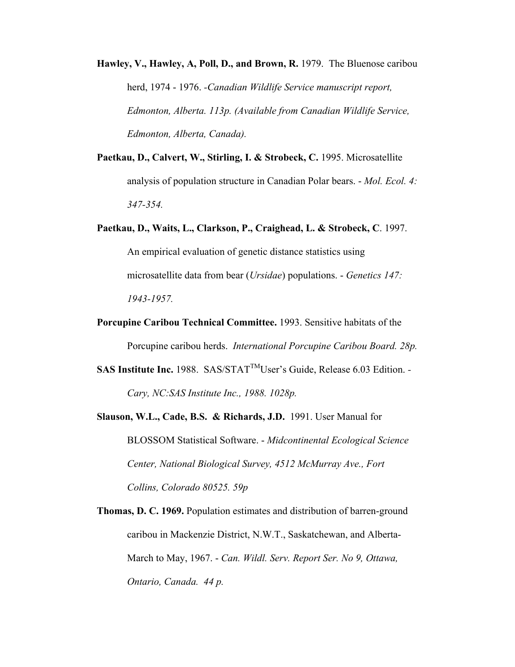**Hawley, V., Hawley, A, Poll, D., and Brown, R.** 1979. The Bluenose caribou herd, 1974 - 1976. *-Canadian Wildlife Service manuscript report, Edmonton, Alberta. 113p. (Available from Canadian Wildlife Service, Edmonton, Alberta, Canada).*

- **Paetkau, D., Calvert, W., Stirling, I. & Strobeck, C.** 1995. Microsatellite analysis of population structure in Canadian Polar bears. - *Mol. Ecol. 4: 347-354.*
- **Paetkau, D., Waits, L., Clarkson, P., Craighead, L. & Strobeck, C**. 1997. An empirical evaluation of genetic distance statistics using microsatellite data from bear (*Ursidae*) populations. - *Genetics 147: 1943-1957.*
- **Porcupine Caribou Technical Committee.** 1993. Sensitive habitats of the Porcupine caribou herds. *International Porcupine Caribou Board. 28p.*
- SAS Institute Inc. 1988. SAS/STAT<sup>™</sup>User's Guide, Release 6.03 Edition. -*Cary, NC:SAS Institute Inc., 1988. 1028p.*
- **Slauson, W.L., Cade, B.S. & Richards, J.D.** 1991. User Manual for BLOSSOM Statistical Software. - *Midcontinental Ecological Science Center, National Biological Survey, 4512 McMurray Ave., Fort Collins, Colorado 80525. 59p*
- **Thomas, D. C. 1969.** Population estimates and distribution of barren-ground caribou in Mackenzie District, N.W.T., Saskatchewan, and Alberta-March to May, 1967. - *Can. Wildl. Serv. Report Ser. No 9, Ottawa, Ontario, Canada. 44 p.*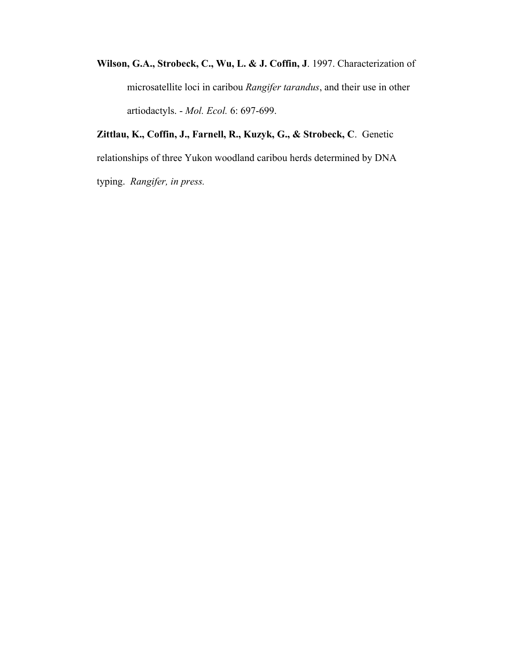**Wilson, G.A., Strobeck, C., Wu, L. & J. Coffin, J**. 1997. Characterization of microsatellite loci in caribou *Rangifer tarandus*, and their use in other artiodactyls. - *Mol. Ecol.* 6: 697-699.

**Zittlau, K., Coffin, J., Farnell, R., Kuzyk, G., & Strobeck, C**. Genetic relationships of three Yukon woodland caribou herds determined by DNA typing. *Rangifer, in press.*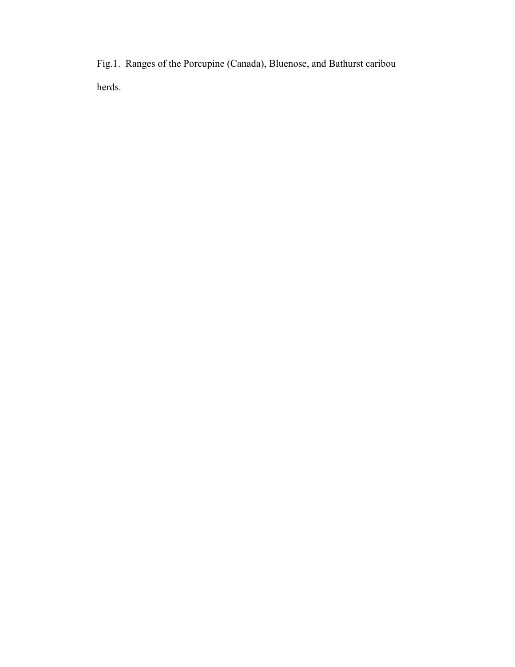Fig.1. Ranges of the Porcupine (Canada), Bluenose, and Bathurst caribou herds.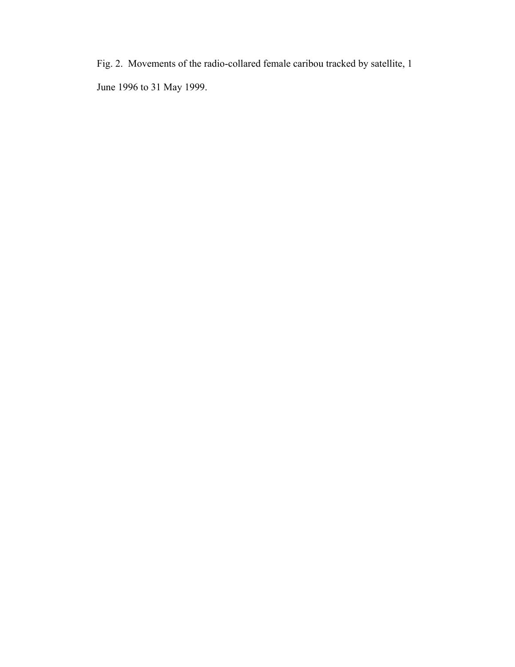Fig. 2. Movements of the radio-collared female caribou tracked by satellite, 1 June 1996 to 31 May 1999.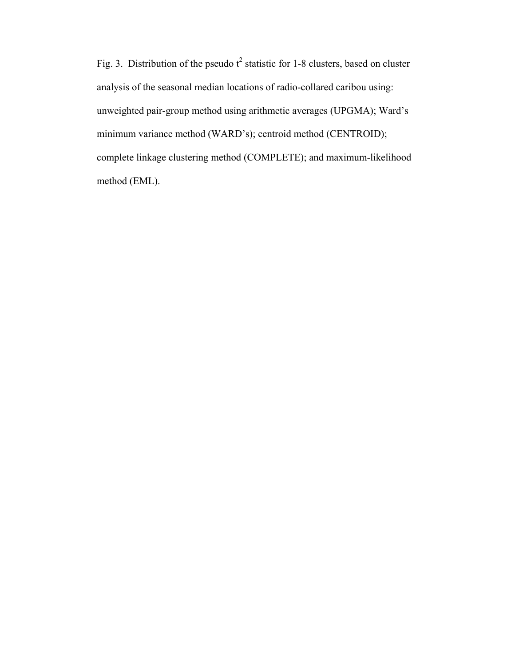Fig. 3. Distribution of the pseudo  $t^2$  statistic for 1-8 clusters, based on cluster analysis of the seasonal median locations of radio-collared caribou using: unweighted pair-group method using arithmetic averages (UPGMA); Ward's minimum variance method (WARD's); centroid method (CENTROID); complete linkage clustering method (COMPLETE); and maximum-likelihood method (EML).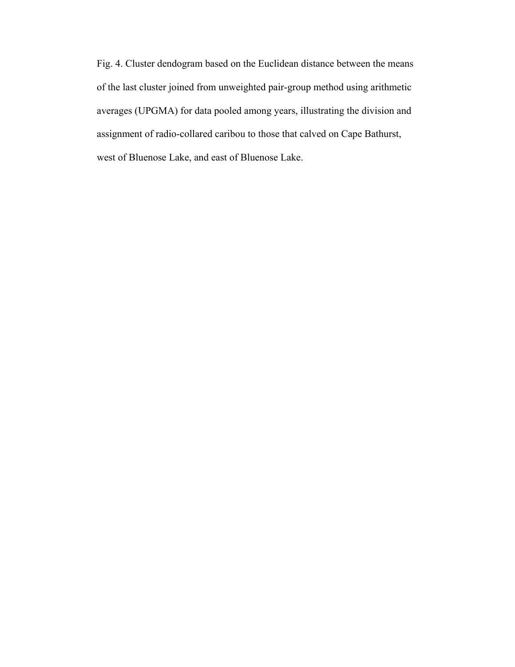Fig. 4. Cluster dendogram based on the Euclidean distance between the means of the last cluster joined from unweighted pair-group method using arithmetic averages (UPGMA) for data pooled among years, illustrating the division and assignment of radio-collared caribou to those that calved on Cape Bathurst, west of Bluenose Lake, and east of Bluenose Lake.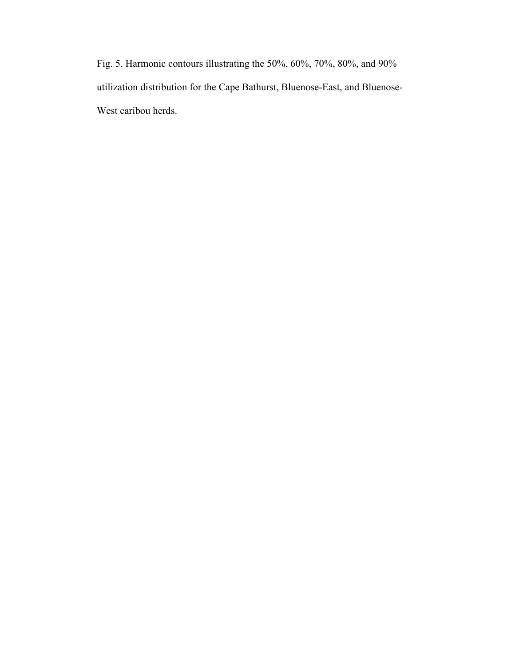Fig. 5. Harmonic contours illustrating the 50%, 60%, 70%, 80%, and 90% utilization distribution for the Cape Bathurst, Bluenose-East, and Bluenose-West caribou herds.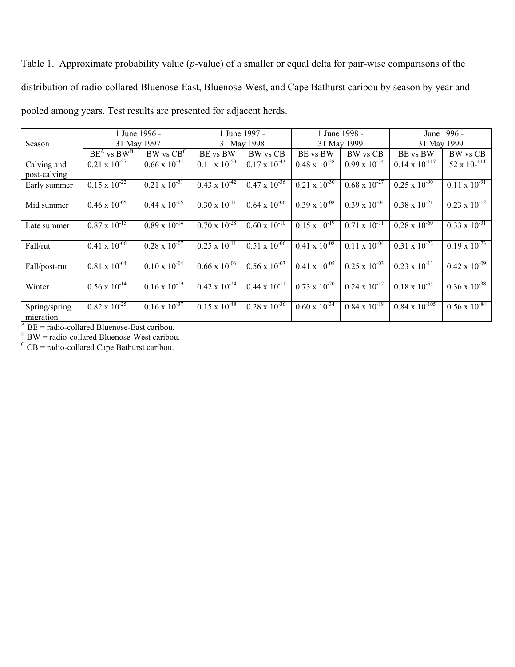Table 1. Approximate probability value (*p*-value) of a smaller or equal delta for pair-wise comparisons of the distribution of radio-collared Bluenose-East, Bluenose-West, and Cape Bathurst caribou by season by year and pooled among years. Test results are presented for adjacent herds.

|               | 1 June 1996 -                                                              |                                                  | 1 June 1997 -                                    |                                                  | 1 June 1998 -                                    |                                                  | 1 June 1996 -                                    |                                                                                                      |
|---------------|----------------------------------------------------------------------------|--------------------------------------------------|--------------------------------------------------|--------------------------------------------------|--------------------------------------------------|--------------------------------------------------|--------------------------------------------------|------------------------------------------------------------------------------------------------------|
| Season        | 31 May 1997                                                                |                                                  | 31 May 1998                                      |                                                  | 31 May 1999                                      |                                                  | 31 May 1999                                      |                                                                                                      |
|               | $BE^{A}$ vs $BW^{B}$                                                       | $BW$ vs $CBC$                                    | BE vs BW                                         | BW vs CB                                         | BE vs BW                                         | BW vs CB                                         | BE vs BW                                         | BW vs CB                                                                                             |
| Calving and   | $0.21 \times 10^{-27}$                                                     | $0.66 \times 10^{-34}$                           | $0.11 \times 10^{-33}$                           | $0.17 \times 10^{-43}$                           | $0.48 \times 10^{-38}$                           | $0.99 \times 10^{-34}$                           | $0.14 \times 10^{-117}$                          | .52 x $10^{-114}$                                                                                    |
| post-calving  |                                                                            |                                                  |                                                  |                                                  |                                                  |                                                  |                                                  |                                                                                                      |
| Early summer  | $0.15 \times 10^{-22}$                                                     | $0.21 \times 10^{-31}$                           | $0.43 \times 10^{-12}$                           | $0.47 \times 10^{-36}$                           | $0.21 \times 10^{-30}$                           | $0.68 \times 10^{-27}$                           | $0.25 \times 10^{-90}$                           | $0.11 \times 10^{-91}$                                                                               |
|               |                                                                            |                                                  |                                                  |                                                  |                                                  |                                                  |                                                  |                                                                                                      |
| Mid summer    | $0.46 \times 10^{-05}$                                                     | $0.44 \times 10^{-05}$                           | $0.30 \times 10^{-11}$                           | $0.64 \times 10^{-06}$                           | $0.39 \times 10^{-08}$                           | $0.39 \times 10^{-04}$                           | $0.38 \times 10^{-21}$                           | $0.23 \times 10^{-12}$                                                                               |
|               |                                                                            |                                                  |                                                  |                                                  |                                                  |                                                  |                                                  |                                                                                                      |
| Late summer   |                                                                            |                                                  |                                                  |                                                  |                                                  |                                                  |                                                  |                                                                                                      |
|               |                                                                            |                                                  |                                                  |                                                  |                                                  |                                                  |                                                  |                                                                                                      |
| Fall/rut      |                                                                            |                                                  |                                                  |                                                  |                                                  |                                                  |                                                  |                                                                                                      |
|               |                                                                            |                                                  |                                                  |                                                  |                                                  |                                                  |                                                  |                                                                                                      |
| Fall/post-rut |                                                                            | $0.10 \times 10^{-\overline{04}}$                | $0.66 \times 10^{-06}$                           | $0.56 \times 10^{-03}$                           | $0.41 \times 10^{-05}$                           | $0.25 \times 10^{-03}$                           | $0.23 \times 10^{-13}$                           |                                                                                                      |
|               |                                                                            |                                                  |                                                  |                                                  |                                                  |                                                  |                                                  |                                                                                                      |
| Winter        | $0.56 \times 10^{-14}$                                                     | $0.16 \times 10^{-19}$                           | $0.42 \times 10^{-24}$                           | $0.44 \times 10^{-11}$                           | $0.73 \times 10^{-20}$                           | $0.24 \times 10^{-12}$                           | $0.18 \times 10^{-55}$                           |                                                                                                      |
|               |                                                                            |                                                  |                                                  |                                                  |                                                  |                                                  |                                                  |                                                                                                      |
| Spring/spring | $0.82 \times 10^{-25}$                                                     | $0.16 \times 10^{-37}$                           | $0.15 \times 10^{-48}$                           | $0.28 \times 10^{-36}$                           | $0.60 \times 10^{-34}$                           | $0.84 \times 10^{-18}$                           | $0.84 \times 10^{-105}$                          | $0.56 \times 10^{-84}$                                                                               |
| migration     |                                                                            |                                                  |                                                  |                                                  |                                                  |                                                  |                                                  |                                                                                                      |
|               | $0.87 \times 10^{-15}$<br>$0.41 \times 10^{-06}$<br>$0.81 \times 10^{-04}$ | $0.89 \times 10^{-14}$<br>$0.28 \times 10^{-07}$ | $0.70 \times 10^{-28}$<br>$0.25 \times 10^{-11}$ | $0.60 \times 10^{-10}$<br>$0.51 \times 10^{-06}$ | $0.15 \times 10^{-19}$<br>$0.41 \times 10^{-08}$ | $0.71 \times 10^{-11}$<br>$0.11 \times 10^{-04}$ | $0.28 \times 10^{-60}$<br>$0.31 \times 10^{-22}$ | $0.33 \times 10^{-31}$<br>$0.19 \times 10^{-23}$<br>$0.42 \times 10^{-09}$<br>$0.36 \times 10^{-38}$ |

<sup>A</sup> BE = radio-collared Bluenose-East caribou.<br>
<sup>B</sup> BW = radio-collared Bluenose-West caribou.<br>
<sup>C</sup> CB = radio-collared Cape Bathurst caribou.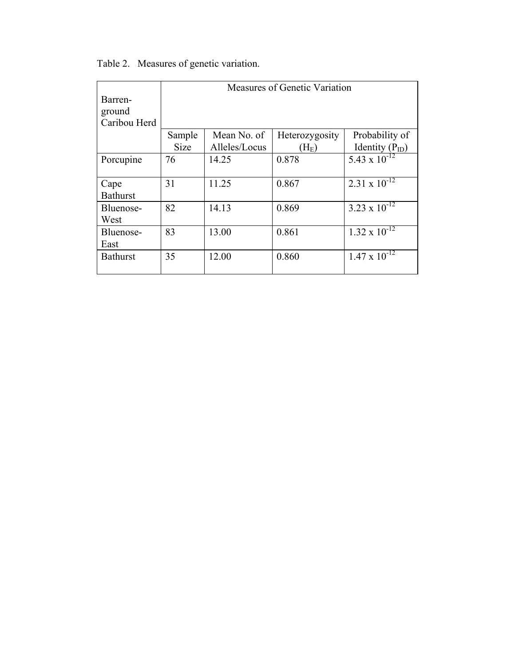|                 | Measures of Genetic Variation |               |                |                        |  |  |
|-----------------|-------------------------------|---------------|----------------|------------------------|--|--|
| Barren-         |                               |               |                |                        |  |  |
| ground          |                               |               |                |                        |  |  |
| Caribou Herd    |                               |               |                |                        |  |  |
|                 | Sample                        | Mean No. of   | Heterozygosity | Probability of         |  |  |
|                 | <b>Size</b>                   | Alleles/Locus | $\rm(H_E)$     | Identity $(P_{ID})$    |  |  |
| Porcupine       | 76                            | 14.25         | 0.878          | 5.43 x $10^{-12}$      |  |  |
|                 |                               |               |                |                        |  |  |
| Cape            | 31                            | 11.25         | 0.867          | $2.31 \times 10^{-12}$ |  |  |
| <b>Bathurst</b> |                               |               |                |                        |  |  |
| Bluenose-       | 82                            | 14.13         | 0.869          | 3.23 x $10^{-12}$      |  |  |
| West            |                               |               |                |                        |  |  |
| Bluenose-       | 83                            | 13.00         | 0.861          | $1.32 \times 10^{-12}$ |  |  |
| East            |                               |               |                |                        |  |  |
| <b>Bathurst</b> | 35                            | 12.00         | 0.860          | $1.47 \times 10^{-12}$ |  |  |
|                 |                               |               |                |                        |  |  |

Table 2. Measures of genetic variation.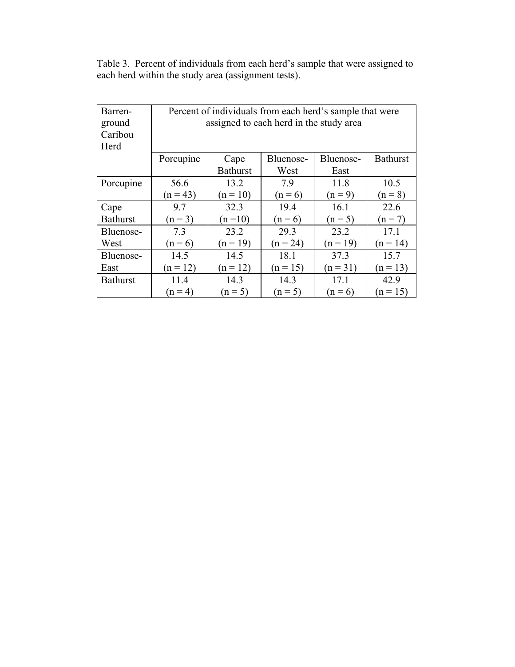Table 3. Percent of individuals from each herd's sample that were assigned to each herd within the study area (assignment tests).

| Barren-<br>ground<br>Caribou<br>Herd | Percent of individuals from each herd's sample that were<br>assigned to each herd in the study area |                 |            |                 |            |  |
|--------------------------------------|-----------------------------------------------------------------------------------------------------|-----------------|------------|-----------------|------------|--|
|                                      | Bluenose-<br>Bluenose-<br>Cape<br>Porcupine                                                         |                 |            | <b>Bathurst</b> |            |  |
|                                      |                                                                                                     | <b>Bathurst</b> | West       | East            |            |  |
| Porcupine                            | 56.6                                                                                                | 13.2            | 7.9        | 11.8            | 10.5       |  |
|                                      | $(n = 43)$                                                                                          | $(n = 10)$      | $(n = 6)$  | $(n = 9)$       | $(n = 8)$  |  |
| Cape                                 | 9.7                                                                                                 | 32.3            | 19.4       | 16.1            | 22.6       |  |
| <b>Bathurst</b>                      | $(n = 3)$                                                                                           | $(n=10)$        | $(n = 6)$  | $(n = 5)$       | $(n = 7)$  |  |
| Bluenose-                            | 7.3                                                                                                 | 23.2            | 29.3       | 23.2            | 17.1       |  |
| West                                 | $(n = 6)$                                                                                           | $(n = 19)$      | $(n = 24)$ | $(n = 19)$      | $(n = 14)$ |  |
| Bluenose-                            | 14.5                                                                                                | 14.5            | 18.1       | 37.3            | 15.7       |  |
| East                                 | $(n = 12)$                                                                                          | $(n = 12)$      | $(n = 15)$ | $(n = 31)$      | $(n = 13)$ |  |
| <b>Bathurst</b>                      | 11.4                                                                                                | 14.3            | 14.3       | 17.1            | 42.9       |  |
|                                      | $(n = 4)$                                                                                           | $(n = 5)$       | $(n = 5)$  | $(n = 6)$       | $(n = 15)$ |  |